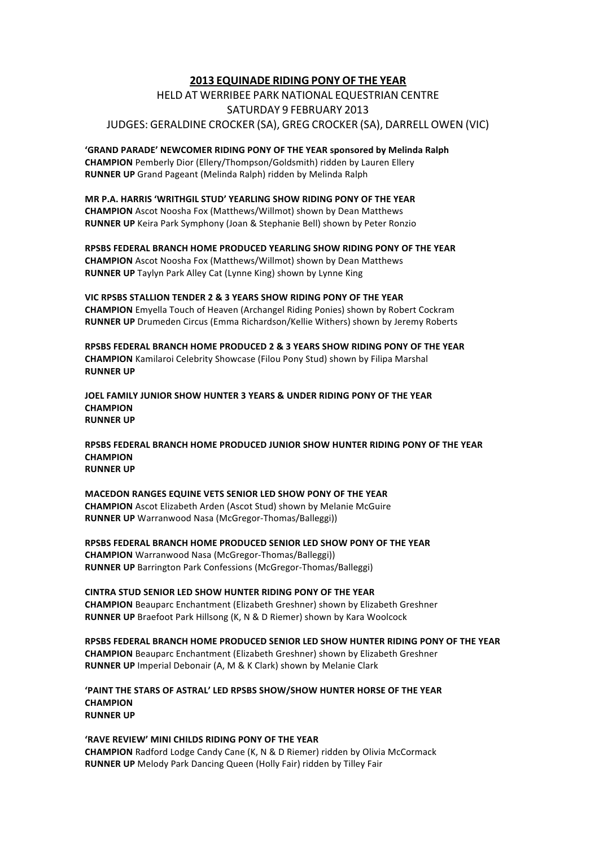## **2013 EQUINADE RIDING PONY OF THE YEAR**

## HELD AT WERRIBEE PARK NATIONAL EQUESTRIAN CENTRE SATURDAY 9 FEBRUARY 2013 JUDGES: GERALDINE CROCKER (SA), GREG CROCKER (SA), DARRELL OWEN (VIC)

**'GRAND PARADE' NEWCOMER RIDING PONY OF THE YEAR sponsored by Melinda Ralph CHAMPION** Pemberly Dior (Ellery/Thompson/Goldsmith) ridden by Lauren Ellery **RUNNER UP** Grand Pageant (Melinda Ralph) ridden by Melinda Ralph

MR P.A. HARRIS 'WRITHGIL STUD' YEARLING SHOW RIDING PONY OF THE YEAR **CHAMPION** Ascot Noosha Fox (Matthews/Willmot) shown by Dean Matthews **RUNNER UP** Keira Park Symphony (Joan & Stephanie Bell) shown by Peter Ronzio

**RPSBS%FEDERAL%BRANCH%HOME%PRODUCED%YEARLING%SHOW%RIDING%PONY%OF%THE%YEAR CHAMPION** Ascot Noosha Fox (Matthews/Willmot) shown by Dean Matthews **RUNNER UP** Taylyn Park Alley Cat (Lynne King) shown by Lynne King

VIC RPSBS STALLION TENDER 2 & 3 YEARS SHOW RIDING PONY OF THE YEAR **CHAMPION** Emyella Touch of Heaven (Archangel Riding Ponies) shown by Robert Cockram **RUNNER UP** Drumeden Circus (Emma Richardson/Kellie Withers) shown by Jeremy Roberts

RPSBS FEDERAL BRANCH HOME PRODUCED 2 & 3 YEARS SHOW RIDING PONY OF THE YEAR **CHAMPION** Kamilaroi Celebrity Showcase (Filou Pony Stud) shown by Filipa Marshal **RUNNER UP** 

JOEL FAMILY JUNIOR SHOW HUNTER 3 YEARS & UNDER RIDING PONY OF THE YEAR **CHAMPION% RUNNER UP** 

**RPSBS%FEDERAL%BRANCH%HOME%PRODUCED%JUNIOR%SHOW%HUNTER%RIDING%PONY%OF%THE%YEAR CHAMPION% RUNNER UP** 

**MACEDON%RANGES%EQUINE%VETS%SENIOR%LED%SHOW%PONY%OF%THE%YEAR CHAMPION** Ascot Elizabeth Arden (Ascot Stud) shown by Melanie McGuire **RUNNER UP** Warranwood Nasa (McGregor-Thomas/Balleggi))

**RPSBS%FEDERAL%BRANCH%HOME%PRODUCED%SENIOR%LED%SHOW%PONY%OF%THE%YEAR CHAMPION** Warranwood Nasa (McGregor-Thomas/Balleggi)) **RUNNER UP** Barrington Park Confessions (McGregor-Thomas/Balleggi)

**CINTRA%STUD%SENIOR%LED%SHOW%HUNTER%RIDING%PONY%OF%THE%YEAR CHAMPION** Beauparc Enchantment (Elizabeth Greshner) shown by Elizabeth Greshner **RUNNER UP** Braefoot Park Hillsong (K, N & D Riemer) shown by Kara Woolcock

**RPSBS%FEDERAL%BRANCH%HOME%PRODUCED%SENIOR%LED%SHOW%HUNTER%RIDING%PONY%OF%THE%YEAR CHAMPION** Beauparc Enchantment (Elizabeth Greshner) shown by Elizabeth Greshner **RUNNER UP** Imperial Debonair (A, M & K Clark) shown by Melanie Clark

**'PAINT%THE%STARS%OF%ASTRAL'%LED%RPSBS%SHOW/SHOW%HUNTER%HORSE%OF%THE%YEAR CHAMPION% RUNNER UP** 

'RAVE REVIEW' MINI CHILDS RIDING PONY OF THE YEAR **CHAMPION** Radford Lodge Candy Cane (K, N & D Riemer) ridden by Olivia McCormack RUNNER UP Melody Park Dancing Queen (Holly Fair) ridden by Tilley Fair